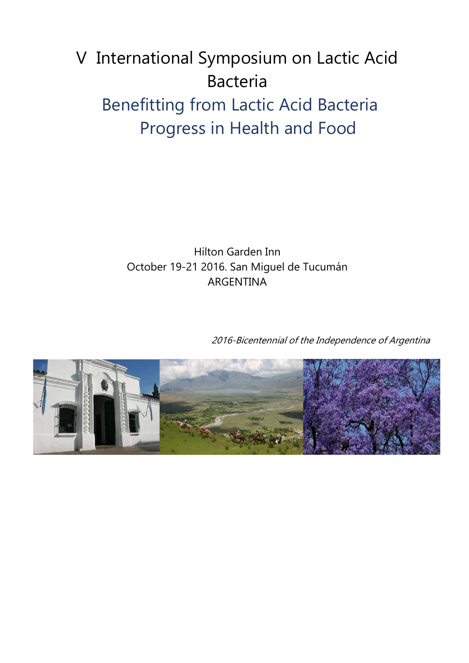# V International Symposium on Lactic Acid Bacteria Benefitting from Lactic Acid Bacteria Progress in Health and Food

Hilton Garden Inn October 19-21 2016. San Miguel de Tucumán ARGENTINA

2016-Bicentennial of the Independence of Argentina

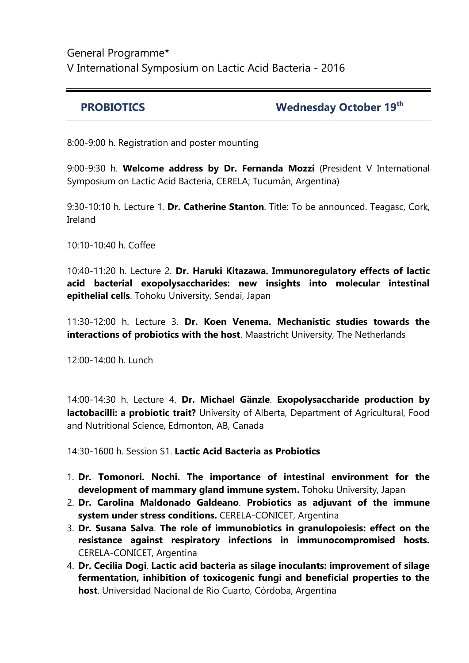# General Programme\* V International Symposium on Lactic Acid Bacteria - 2016

#### **PROBIOTICS Wednesday October 19<sup>th</sup>**

8:00-9:00 h. Registration and poster mounting

9:00-9:30 h. **Welcome address by Dr. Fernanda Mozzi** (President V International Symposium on Lactic Acid Bacteria, CERELA; Tucumán, Argentina)

9:30-10:10 h. Lecture 1. **Dr. Catherine Stanton**. Title: To be announced. Teagasc, Cork, Ireland

10:10-10:40 h. Coffee

10:40-11:20 h. Lecture 2. **Dr. Haruki Kitazawa. Immunoregulatory effects of lactic acid bacterial exopolysaccharides: new insights into molecular intestinal epithelial cells**. Tohoku University, Sendai, Japan

11:30-12:00 h. Lecture 3. **Dr. Koen Venema. Mechanistic studies towards the interactions of probiotics with the host**. Maastricht University, The Netherlands

12:00-14:00 h. Lunch

14:00-14:30 h. Lecture 4. **Dr. Michael Gänzle**. **Exopolysaccharide production by lactobacilli: a probiotic trait?** University of Alberta, Department of Agricultural, Food and Nutritional Science, Edmonton, AB, Canada

14:30-1600 h. Session S1. **Lactic Acid Bacteria as Probiotics**

- 1. **Dr. Tomonori. Nochi. The importance of intestinal environment for the development of mammary gland immune system.** Tohoku University, Japan
- 2. **Dr. Carolina Maldonado Galdeano**. **Probiotics as adjuvant of the immune system under stress conditions.** CERELA-CONICET, Argentina
- 3. **Dr. Susana Salva**. **The role of immunobiotics in granulopoiesis: effect on the resistance against respiratory infections in immunocompromised hosts.** CERELA-CONICET, Argentina
- 4. **Dr. Cecilia Dogi**. **Lactic acid bacteria as silage inoculants: improvement of silage fermentation, inhibition of toxicogenic fungi and beneficial properties to the host**. Universidad Nacional de Rio Cuarto, Córdoba, Argentina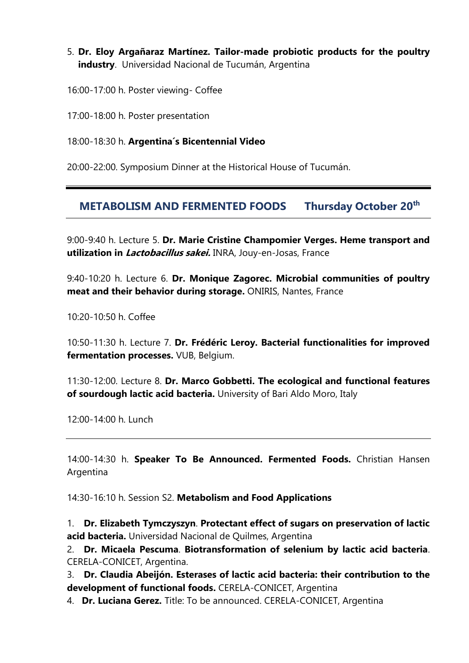#### 5. **Dr. Eloy Argañaraz Martínez. Tailor-made probiotic products for the poultry industry**. Universidad Nacional de Tucumán, Argentina

16:00-17:00 h. Poster viewing- Coffee

17:00-18:00 h. Poster presentation

18:00-18:30 h. **Argentina´s Bicentennial Video**

20:00-22:00. Symposium Dinner at the Historical House of Tucumán.

# **METABOLISM AND FERMENTED FOODS Thursday October 20th**

9:00-9:40 h. Lecture 5. **Dr. Marie Cristine Champomier Verges. Heme transport and utilization in Lactobacillus sakei.** INRA, Jouy-en-Josas, France

9:40-10:20 h. Lecture 6. **Dr. Monique Zagorec. Microbial communities of poultry meat and their behavior during storage.** ONIRIS, Nantes, France

10:20-10:50 h. Coffee

10:50-11:30 h. Lecture 7. **Dr. Frédéric Leroy. Bacterial functionalities for improved fermentation processes.** VUB, Belgium.

11:30-12:00. Lecture 8. **Dr. Marco Gobbetti. The ecological and functional features of sourdough lactic acid bacteria.** University of Bari Aldo Moro, Italy

12:00-14:00 h. Lunch

14:00-14:30 h. **Speaker To Be Announced. Fermented Foods.** Christian Hansen Argentina

14:30-16:10 h. Session S2. **Metabolism and Food Applications**

1. **Dr. Elizabeth Tymczyszyn**. **Protectant effect of sugars on preservation of lactic acid bacteria.** Universidad Nacional de Quilmes, Argentina

2. **Dr. Micaela Pescuma**. **Biotransformation of selenium by lactic acid bacteria**. CERELA-CONICET, Argentina.

3. **Dr. Claudia Abeijón. Esterases of lactic acid bacteria: their contribution to the development of functional foods.** CERELA-CONICET, Argentina

4. **Dr. Luciana Gerez.** Title: To be announced. CERELA-CONICET, Argentina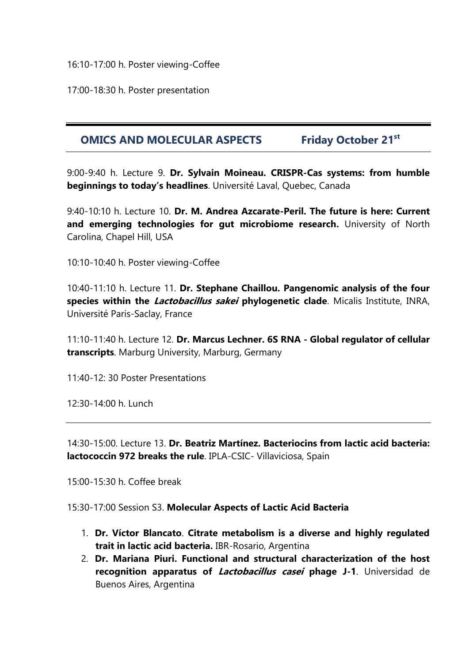16:10-17:00 h. Poster viewing-Coffee

17:00-18:30 h. Poster presentation

### **OMICS AND MOLECULAR ASPECTS Friday October 21st**

9:00-9:40 h. Lecture 9. **Dr. Sylvain Moineau. CRISPR-Cas systems: from humble beginnings to today's headlines**. Université Laval, Quebec, Canada

9:40-10:10 h. Lecture 10. **Dr. M. Andrea Azcarate-Peril. The future is here: Current and emerging technologies for gut microbiome research.** University of North Carolina, Chapel Hill, USA

10:10-10:40 h. Poster viewing-Coffee

10:40-11:10 h. Lecture 11. **Dr. Stephane Chaillou. Pangenomic analysis of the four species within the Lactobacillus sakei phylogenetic clade**. Micalis Institute, INRA, Université Paris-Saclay, France

11:10-11:40 h. Lecture 12. **Dr. Marcus Lechner. 6S RNA - Global regulator of cellular transcripts**. Marburg University, Marburg, Germany

11:40-12: 30 Poster Presentations

12:30-14:00 h. Lunch

14:30-15:00. Lecture 13. **Dr. Beatriz Martínez. Bacteriocins from lactic acid bacteria: lactococcin 972 breaks the rule**. IPLA-CSIC- Villaviciosa, Spain

15:00-15:30 h. Coffee break

15:30-17:00 Session S3. **Molecular Aspects of Lactic Acid Bacteria**

- 1. **Dr. Víctor Blancato**. **Citrate metabolism is a diverse and highly regulated trait in lactic acid bacteria.** IBR-Rosario, Argentina
- 2. **Dr. Mariana Piuri. Functional and structural characterization of the host recognition apparatus of Lactobacillus casei phage J-1**. Universidad de Buenos Aires, Argentina